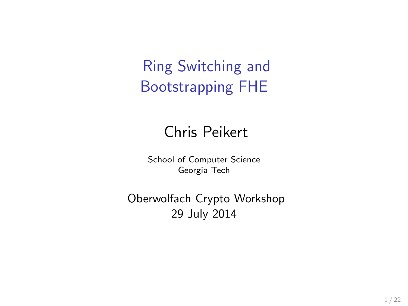Ring Switching and Bootstrapping FHE

### Chris Peikert

School of Computer Science Georgia Tech

Oberwolfach Crypto Workshop 29 July 2014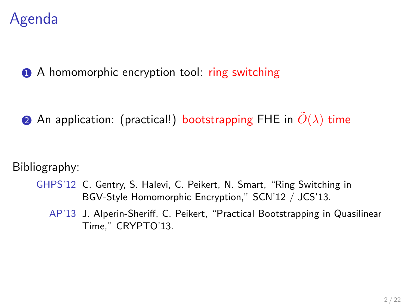### Agenda

**1** A homomorphic encryption tool: ring switching

2 An application: (practical!) bootstrapping FHE in  $\tilde{O}(\lambda)$  time

Bibliography:

- GHPS'12 C. Gentry, S. Halevi, C. Peikert, N. Smart, "Ring Switching in BGV-Style Homomorphic Encryption," SCN'12 / JCS'13.
	- AP'13 J. Alperin-Sheriff, C. Peikert, "Practical Bootstrapping in Quasilinear Time," CRYPTO'13.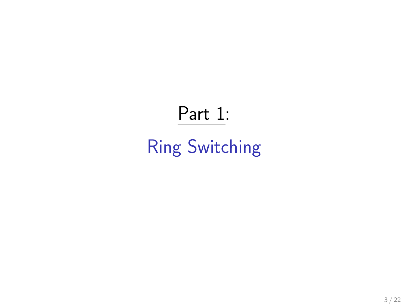# Part 1:

# Ring Switching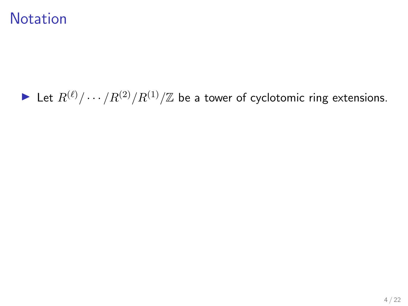### **Notation**

### In Let  $R^{(\ell)}/\cdots/R^{(2)}/R^{(1)}/\mathbb{Z}$  be a tower of cyclotomic ring extensions.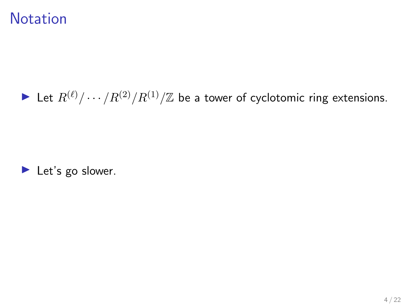### **Notation**

### In Let  $R^{(\ell)}/\cdots/R^{(2)}/R^{(1)}/\mathbb{Z}$  be a tower of cyclotomic ring extensions.

 $\blacktriangleright$  Let's go slower.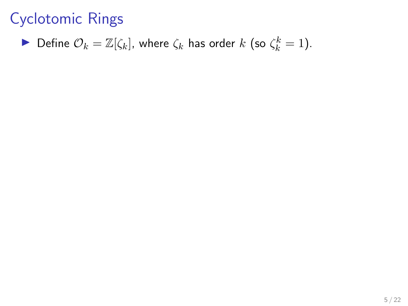• Define 
$$
\mathcal{O}_k = \mathbb{Z}[\zeta_k]
$$
, where  $\zeta_k$  has order k (so  $\zeta_k^k = 1$ ).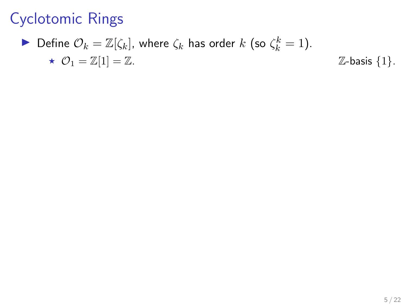$\blacktriangleright$  Define  $\mathcal{O}_k = \mathbb{Z}[\zeta_k]$ , where  $\zeta_k$  has order  $k$  (so  $\zeta_k^k = 1$ ).  $\star \quad \mathcal{O}_1 = \mathbb{Z}[1] = \mathbb{Z}.$   $\mathbb{Z}\text{-basis } \{1\}.$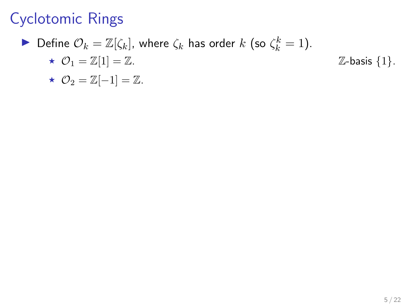$\blacktriangleright$  Define  $\mathcal{O}_k = \mathbb{Z}[\zeta_k]$ , where  $\zeta_k$  has order  $k$  (so  $\zeta_k^k = 1$ ).

$$
\star \ \mathcal{O}_1 = \mathbb{Z}[1] = \mathbb{Z}.
$$
 
$$
\mathbb{Z}\text{-basis } \{1\}.
$$

$$
\star \ \mathcal{O}_2 = \mathbb{Z}[-1] = \mathbb{Z}.
$$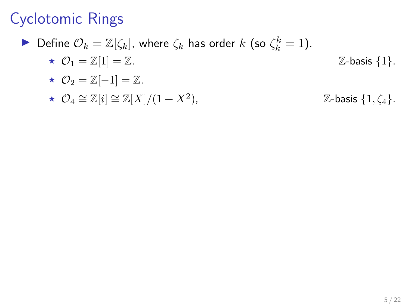$\blacktriangleright$  Define  $\mathcal{O}_k = \mathbb{Z}[\zeta_k]$ , where  $\zeta_k$  has order  $k$  (so  $\zeta_k^k = 1$ ).

- $\star \quad \mathcal{O}_1 = \mathbb{Z}[1] = \mathbb{Z}.$   $\mathbb{Z}\text{-basis } \{1\}.$
- $\star \mathcal{O}_2 = \mathbb{Z}[-1] = \mathbb{Z}.$
- $\star \ \mathcal{O}_4 \cong \mathbb{Z}[i] \cong \mathbb{Z}[X]/(1+X^2)$  $\mathbb{Z}$ -basis  $\{1,\zeta_4\}.$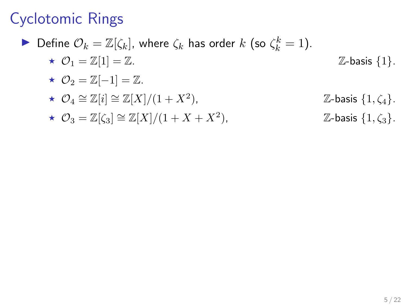$\blacktriangleright$  Define  $\mathcal{O}_k = \mathbb{Z}[\zeta_k]$ , where  $\zeta_k$  has order  $k$  (so  $\zeta_k^k = 1$ ).

- $\star \quad \mathcal{O}_1 = \mathbb{Z}[1] = \mathbb{Z}.$   $\mathbb{Z}\text{-basis } \{1\}.$
- $\star \mathcal{O}_2 = \mathbb{Z}[-1] = \mathbb{Z}.$
- $\star \ \mathcal{O}_4 \cong \mathbb{Z}[i] \cong \mathbb{Z}[X]/(1+X^2)$  $\mathbb{Z}$ -basis  $\{1,\zeta_4\}.$
- $\star \mathcal{O}_3 = \mathbb{Z}[\zeta_3] \cong \mathbb{Z}[X]/(1+X+X^2),$  $\mathbb{Z}$ -basis  $\{1,\zeta_3\}.$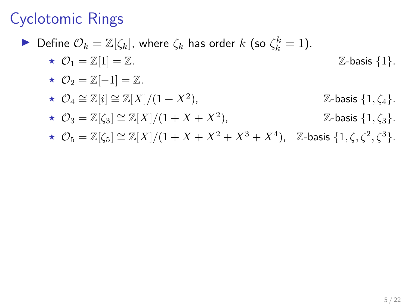$\blacktriangleright$  Define  $\mathcal{O}_k = \mathbb{Z}[\zeta_k]$ , where  $\zeta_k$  has order  $k$  (so  $\zeta_k^k = 1$ ).  $\star \quad \mathcal{O}_1 = \mathbb{Z}[1] = \mathbb{Z}.$   $\mathbb{Z}\text{-basis } \{1\}.$ 

$$
\star \ \mathcal{O}_2 = \mathbb{Z}[-1] = \mathbb{Z}.
$$

$$
\star \ \mathcal{O}_4 \cong \mathbb{Z}[i] \cong \mathbb{Z}[X]/(1+X^2), \qquad \qquad \mathbb{Z}\text{-basis } \{1, \zeta_4\}.
$$

$$
\star \ \mathcal{O}_3 = \mathbb{Z}[\zeta_3] \cong \mathbb{Z}[X]/(1+X+X^2), \qquad \qquad \mathbb{Z}\text{-basis } \{1,\zeta_3\}.
$$

$$
\star \ \mathcal{O}_5=\mathbb{Z}[\zeta_5]\cong \mathbb{Z}[X]/(1+X+X^2+X^3+X^4),\quad \mathbb{Z}\text{-basis }\{1,\zeta,\zeta^2,\zeta^3\}.
$$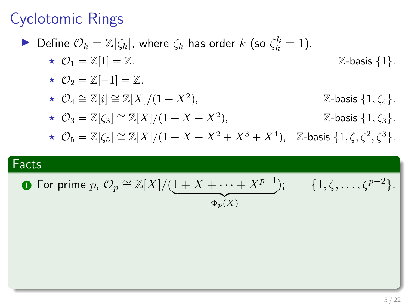$\blacktriangleright$  Define  $\mathcal{O}_k = \mathbb{Z}[\zeta_k]$ , where  $\zeta_k$  has order  $k$  (so  $\zeta_k^k = 1$ ).

$$
\star \ \mathcal{O}_1 = \mathbb{Z}[1] = \mathbb{Z}.
$$
 
$$
\mathbb{Z}\text{-basis } \{1\}.
$$

$$
\star \ \mathcal{O}_2 = \mathbb{Z}[-1] = \mathbb{Z}.
$$

$$
\star \ \mathcal{O}_4 \cong \mathbb{Z}[i] \cong \mathbb{Z}[X]/(1+X^2), \qquad \qquad \mathbb{Z}\text{-basis } \{1, \zeta_4\}.
$$

$$
\star \ \mathcal{O}_3 = \mathbb{Z}[\zeta_3] \cong \mathbb{Z}[X]/(1+X+X^2), \qquad \qquad \mathbb{Z}\text{-basis } \{1,\zeta_3\}.
$$

$$
\star \ \mathcal{O}_5=\mathbb{Z}[\zeta_5]\cong \mathbb{Z}[X]/(1+X+X^2+X^3+X^4),\quad \mathbb{Z}\text{-basis }\{1,\zeta,\zeta^2,\zeta^3\}.
$$

### Facts

• For prime 
$$
p
$$
,  $\mathcal{O}_p \cong \mathbb{Z}[X]/(\underbrace{1 + X + \cdots + X^{p-1}}_{\Phi_p(X)})$ ;  $\{1, \zeta, \ldots, \zeta^{p-2}\}$ .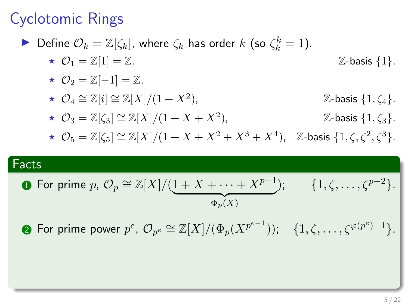$\blacktriangleright$  Define  $\mathcal{O}_k = \mathbb{Z}[\zeta_k]$ , where  $\zeta_k$  has order  $k$  (so  $\zeta_k^k = 1$ ).

$$
\star \quad \mathcal{O}_1 = \mathbb{Z}[1] = \mathbb{Z}.
$$
 
$$
\mathbb{Z}\text{-basis } \{1\}.
$$

$$
\star \ \mathcal{O}_2 = \mathbb{Z}[-1] = \mathbb{Z}.
$$

$$
\star \ \mathcal{O}_4 \cong \mathbb{Z}[i] \cong \mathbb{Z}[X]/(1+X^2), \qquad \qquad \mathbb{Z}\text{-basis } \{1, \zeta_4\}.
$$

$$
\star \ \mathcal{O}_3 = \mathbb{Z}[\zeta_3] \cong \mathbb{Z}[X]/(1+X+X^2), \qquad \qquad \mathbb{Z}\text{-basis } \{1,\zeta_3\}.
$$

$$
\star \ \mathcal{O}_5=\mathbb{Z}[\zeta_5]\cong \mathbb{Z}[X]/(1+X+X^2+X^3+X^4),\quad \mathbb{Z}\text{-basis }\{1,\zeta,\zeta^2,\zeta^3\}.
$$

### Facts

• For prime 
$$
p
$$
,  $\mathcal{O}_p \cong \mathbb{Z}[X]/(\underbrace{1 + X + \cdots + X^{p-1}}_{\Phi_p(X)})$ ;  $\{1, \zeta, \ldots, \zeta^{p-2}\}$ .

 $\bullet$  For prime power  $p^e$ ,  $\mathcal{O}_{p^e}\cong \mathbb{Z}[X]/(\Phi_p(X^{p^{e-1}})) ; \quad \{1, \zeta, \ldots, \zeta^{\varphi(p^e)-1}\}.$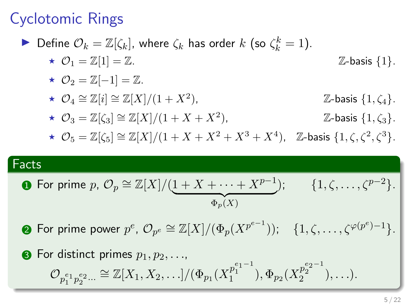$\blacktriangleright$  Define  $\mathcal{O}_k = \mathbb{Z}[\zeta_k]$ , where  $\zeta_k$  has order  $k$  (so  $\zeta_k^k = 1$ ).

$$
\star \ \mathcal{O}_1 = \mathbb{Z}[1] = \mathbb{Z}.
$$
 
$$
\mathbb{Z}\text{-basis } \{1\}.
$$

$$
\star \ \mathcal{O}_2 = \mathbb{Z}[-1] = \mathbb{Z}.
$$

$$
\star \ \mathcal{O}_4 \cong \mathbb{Z}[i] \cong \mathbb{Z}[X]/(1+X^2), \qquad \qquad \mathbb{Z}\text{-basis } \{1, \zeta_4\}.
$$

$$
\star \ \mathcal{O}_3 = \mathbb{Z}[\zeta_3] \cong \mathbb{Z}[X]/(1+X+X^2), \qquad \qquad \mathbb{Z}\text{-basis } \{1,\zeta_3\}.
$$

$$
\star \ \mathcal{O}_5=\mathbb{Z}[\zeta_5]\cong \mathbb{Z}[X]/(1+X+X^2+X^3+X^4),\quad \mathbb{Z}\text{-basis }\{1,\zeta,\zeta^2,\zeta^3\}.
$$

### Facts

• For prime 
$$
p
$$
,  $\mathcal{O}_p \cong \mathbb{Z}[X]/(\underbrace{1 + X + \cdots + X^{p-1}}_{\Phi_p(X)})$ ;  $\{1, \zeta, \ldots, \zeta^{p-2}\}$ .

 $\bullet$  For prime power  $p^e$ ,  $\mathcal{O}_{p^e}\cong \mathbb{Z}[X]/(\Phi_p(X^{p^{e-1}})) ; \quad \{1, \zeta, \ldots, \zeta^{\varphi(p^e)-1}\}.$ 

• For distinct primes 
$$
p_1, p_2, \ldots
$$
,  
\n
$$
\mathcal{O}_{p_1^{e_1} p_2^{e_2} \ldots} \cong \mathbb{Z}[X_1, X_2, \ldots]/(\Phi_{p_1}(X_1^{p_1^{e_1-1}}), \Phi_{p_2}(X_2^{p_2^{e_2-1}}), \ldots).
$$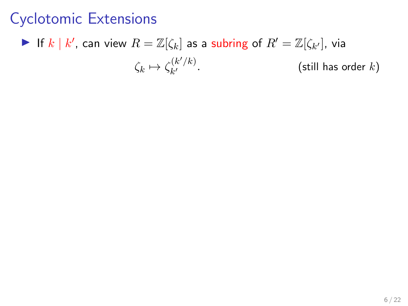#### If  $k | k'$ , can view  $R = \mathbb{Z}[\zeta_k]$  as a subring of  $R' = \mathbb{Z}[\zeta_{k'}]$ , via  $\zeta_k \mapsto \zeta_{k'}^{(k'/k)}$ k (still has order  $k$ )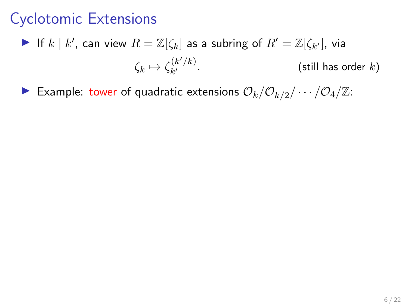- If  $k | k'$ , can view  $R = \mathbb{Z}[\zeta_k]$  as a subring of  $R' = \mathbb{Z}[\zeta_{k'}]$ , via  $\zeta_k \mapsto \zeta_{k'}^{(k'/k)}$ k (still has order  $k$ )
- Example: tower of quadratic extensions  $\mathcal{O}_k/\mathcal{O}_{k/2}/\cdots/\mathcal{O}_4/\mathbb{Z}$ :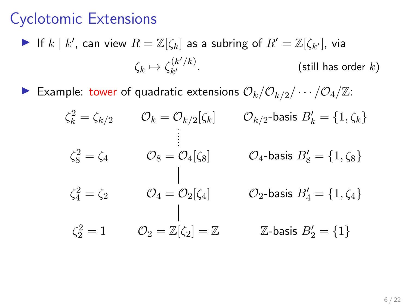- If  $k | k'$ , can view  $R = \mathbb{Z}[\zeta_k]$  as a subring of  $R' = \mathbb{Z}[\zeta_{k'}]$ , via  $\zeta_k \mapsto \zeta_{k'}^{(k'/k)}$ k (still has order  $k$ )
- Example: tower of quadratic extensions  $\mathcal{O}_k/\mathcal{O}_{k/2}/\cdots/\mathcal{O}_4/\mathbb{Z}$ :

$$
\zeta_k^2 = \zeta_{k/2} \qquad \mathcal{O}_k = \mathcal{O}_{k/2}[\zeta_k] \qquad \mathcal{O}_{k/2}\text{-basis } B'_k = \{1, \zeta_k\}
$$
\n
$$
\vdots
$$
\n
$$
\zeta_8^2 = \zeta_4 \qquad \mathcal{O}_8 = \mathcal{O}_4[\zeta_8] \qquad \mathcal{O}_4\text{-basis } B'_8 = \{1, \zeta_8\}
$$
\n
$$
\zeta_4^2 = \zeta_2 \qquad \mathcal{O}_4 = \mathcal{O}_2[\zeta_4] \qquad \mathcal{O}_2\text{-basis } B'_4 = \{1, \zeta_4\}
$$
\n
$$
\zeta_2^2 = 1 \qquad \mathcal{O}_2 = \mathbb{Z}[\zeta_2] = \mathbb{Z} \qquad \mathbb{Z}\text{-basis } B'_2 = \{1\}
$$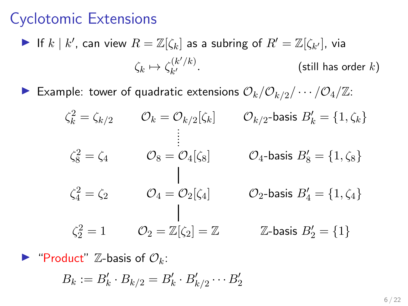If  $k | k'$ , can view  $R = \mathbb{Z}[\zeta_k]$  as a subring of  $R' = \mathbb{Z}[\zeta_{k'}]$ , via  $\zeta_k \mapsto \zeta_{k'}^{(k'/k)}$ k (still has order  $k$ )

Example: tower of quadratic extensions  $\mathcal{O}_k/\mathcal{O}_{k/2}/\cdots/\mathcal{O}_4/\mathbb{Z}$ :

$$
\zeta_k^2 = \zeta_{k/2} \qquad \mathcal{O}_k = \mathcal{O}_{k/2}[\zeta_k] \qquad \mathcal{O}_{k/2}\text{-basis } B'_k = \{1, \zeta_k\}
$$
\n
$$
\vdots
$$
\n
$$
\zeta_8^2 = \zeta_4 \qquad \mathcal{O}_8 = \mathcal{O}_4[\zeta_8] \qquad \mathcal{O}_4\text{-basis } B'_8 = \{1, \zeta_8\}
$$
\n
$$
\zeta_4^2 = \zeta_2 \qquad \mathcal{O}_4 = \mathcal{O}_2[\zeta_4] \qquad \mathcal{O}_2\text{-basis } B'_4 = \{1, \zeta_4\}
$$
\n
$$
\zeta_2^2 = 1 \qquad \mathcal{O}_2 = \mathbb{Z}[\zeta_2] = \mathbb{Z} \qquad \mathbb{Z}\text{-basis } B'_2 = \{1\}
$$

**Product**" Z-basis of  $\mathcal{O}_k$ :

$$
B_k := B'_k \cdot B_{k/2} = B'_k \cdot B'_{k/2} \cdots B'_2
$$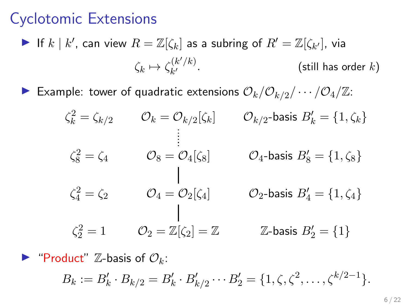If  $k | k'$ , can view  $R = \mathbb{Z}[\zeta_k]$  as a subring of  $R' = \mathbb{Z}[\zeta_{k'}]$ , via  $\zeta_k \mapsto \zeta_{k'}^{(k'/k)}$ k (still has order  $k$ )

Example: tower of quadratic extensions  $\mathcal{O}_k/\mathcal{O}_{k/2}/\cdots/\mathcal{O}_4/\mathbb{Z}$ :

$$
\zeta_k^2 = \zeta_{k/2} \qquad \mathcal{O}_k = \mathcal{O}_{k/2}[\zeta_k] \qquad \mathcal{O}_{k/2}\text{-basis } B'_k = \{1, \zeta_k\}
$$
\n
$$
\vdots
$$
\n
$$
\zeta_8^2 = \zeta_4 \qquad \mathcal{O}_8 = \mathcal{O}_4[\zeta_8] \qquad \mathcal{O}_4\text{-basis } B'_8 = \{1, \zeta_8\}
$$
\n
$$
\zeta_4^2 = \zeta_2 \qquad \mathcal{O}_4 = \mathcal{O}_2[\zeta_4] \qquad \mathcal{O}_2\text{-basis } B'_4 = \{1, \zeta_4\}
$$
\n
$$
\zeta_2^2 = 1 \qquad \mathcal{O}_2 = \mathbb{Z}[\zeta_2] = \mathbb{Z} \qquad \mathbb{Z}\text{-basis } B'_2 = \{1\}
$$

**Product**" Z-basis of  $\mathcal{O}_k$ :

$$
B_k := B'_k \cdot B_{k/2} = B'_k \cdot B'_{k/2} \cdots B'_2 = \{1, \zeta, \zeta^2, \ldots, \zeta^{k/2-1}\}.
$$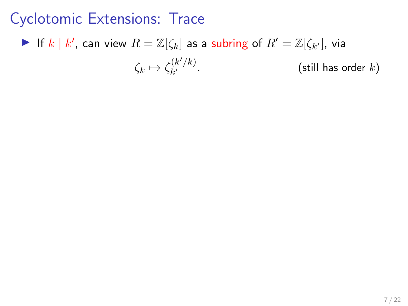#### If  $k | k'$ , can view  $R = \mathbb{Z}[\zeta_k]$  as a subring of  $R' = \mathbb{Z}[\zeta_{k'}]$ , via  $\zeta_k \mapsto \zeta_{k'}^{(k'/k)}$ k (still has order  $k$ )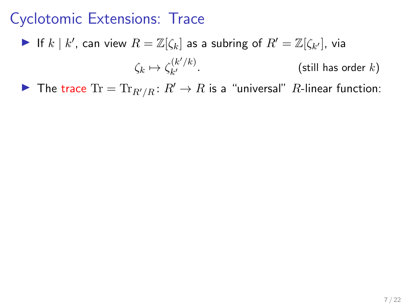If  $k | k'$ , can view  $R = \mathbb{Z}[\zeta_k]$  as a subring of  $R' = \mathbb{Z}[\zeta_{k'}]$ , via

 $\zeta_k \mapsto \zeta_{k'}^{(k'/k)}$ k (still has order  $k$ )

▶ The trace  $Tr = Tr_{R'/R}$ :  $R' \rightarrow R$  is a "universal"  $R$ -linear function: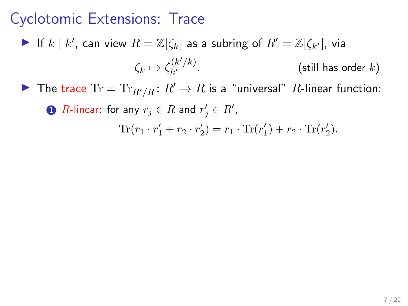- If  $k | k'$ , can view  $R = \mathbb{Z}[\zeta_k]$  as a subring of  $R' = \mathbb{Z}[\zeta_{k'}]$ , via  $\zeta_k \mapsto \zeta_{k'}^{(k'/k)}$ k (still has order  $k$ )
- ▶ The trace  $Tr = Tr_{R'/R}$ :  $R' \rightarrow R$  is a "universal"  $R$ -linear function:

 $\textbf{D}$   $R$ -linear: for any  $r_j \in R$  and  $r'_j \in R'$ ,

Tr( $r_1 \cdot r_1' + r_2 \cdot r_2'$ ) =  $r_1 \cdot \text{Tr}(r_1') + r_2 \cdot \text{Tr}(r_2').$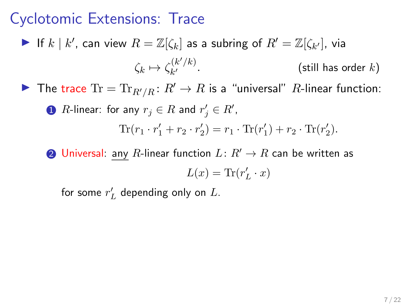If  $k | k'$ , can view  $R = \mathbb{Z}[\zeta_k]$  as a subring of  $R' = \mathbb{Z}[\zeta_{k'}]$ , via  $\zeta_k \mapsto \zeta_{k'}^{(k'/k)}$ k (still has order  $k$ ) The trace  $Tr = Tr_{R'/R} : R' \to R$  is a "universal" R-linear function:

\n- **①** *R*-linear: for any 
$$
r_j \in R
$$
 and  $r'_j \in R'$ ,
\n- $$
\text{Tr}(r_1 \cdot r'_1 + r_2 \cdot r'_2) = r_1 \cdot \text{Tr}(r'_1) + r_2 \cdot \text{Tr}(r'_2).
$$
\n

**2** Universal: any R-linear function  $L: R' \to R$  can be written as  $L(x) = \text{Tr}(r'_L \cdot x)$ 

for some  $r'_L$  depending only on  $L$ .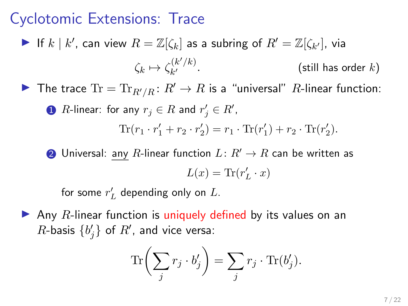- If  $k | k'$ , can view  $R = \mathbb{Z}[\zeta_k]$  as a subring of  $R' = \mathbb{Z}[\zeta_{k'}]$ , via  $\zeta_k \mapsto \zeta_{k'}^{(k'/k)}$ k (still has order  $k$ )
- ▶ The trace  $Tr = Tr_{R'/R}$ :  $R' \rightarrow R$  is a "universal" R-linear function:

\n- **D** R-linear: for any 
$$
r_j \in R
$$
 and  $r'_j \in R'$ ,
\n- $$
\text{Tr}(r_1 \cdot r'_1 + r_2 \cdot r'_2) = r_1 \cdot \text{Tr}(r'_1) + r_2 \cdot \text{Tr}(r'_2).
$$
\n

2 Universal: any R-linear function  $L: R' \to R$  can be written as  $L(x) = \text{Tr}(r'_L \cdot x)$ 

for some  $r'_L$  depending only on  $L$ .

 $\blacktriangleright$  Any R-linear function is uniquely defined by its values on an  $R$ -basis  $\{b'_j\}$  of  $R'$ , and vice versa:

$$
\text{Tr}\bigg(\sum_j r_j \cdot b_j' \bigg) = \sum_j r_j \cdot \text{Tr}(b_j').
$$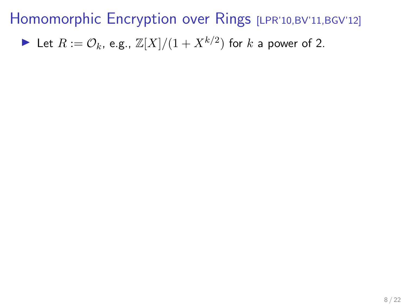In Let  $R := \mathcal{O}_k$ , e.g.,  $\mathbb{Z}[X]/(1 + X^{k/2})$  for  $k$  a power of 2.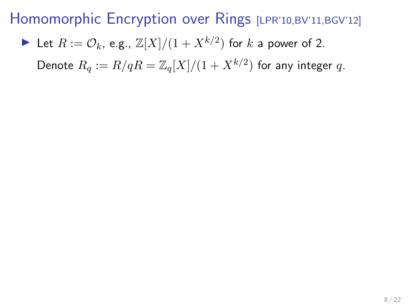In Let  $R := \mathcal{O}_k$ , e.g.,  $\mathbb{Z}[X]/(1 + X^{k/2})$  for  $k$  a power of 2.

Denote  $R_q := R/qR = \mathbb{Z}_q[X]/(1+X^{k/2})$  for any integer  $q.$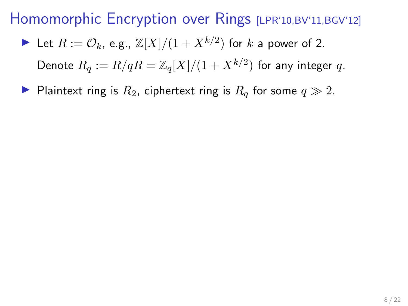In Let  $R := \mathcal{O}_k$ , e.g.,  $\mathbb{Z}[X]/(1 + X^{k/2})$  for  $k$  a power of 2.

Denote  $R_q := R/qR = \mathbb{Z}_q[X]/(1+X^{k/2})$  for any integer  $q.$ 

Plaintext ring is  $R_2$ , ciphertext ring is  $R_q$  for some  $q \gg 2$ .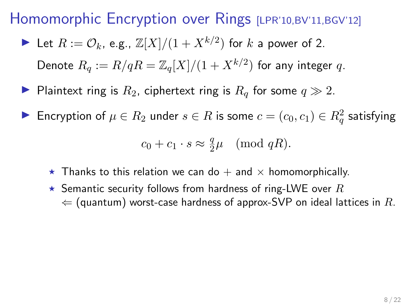In Let  $R := \mathcal{O}_k$ , e.g.,  $\mathbb{Z}[X]/(1 + X^{k/2})$  for  $k$  a power of 2.

Denote  $R_q := R/qR = \mathbb{Z}_q[X]/(1+X^{k/2})$  for any integer  $q.$ 

Plaintext ring is  $R_2$ , ciphertext ring is  $R_q$  for some  $q \gg 2$ .

► Encryption of  $\mu \in R_2$  under  $s \in R$  is some  $c = (c_0, c_1) \in R^2_q$  satisfying

$$
c_0 + c_1 \cdot s \approx \frac{q}{2}\mu \pmod{qR}.
$$

- Thanks to this relation we can do  $+$  and  $\times$  homomorphically.
- $\star$  Semantic security follows from hardness of ring-LWE over  $R$  $\Leftarrow$  (quantum) worst-case hardness of approx-SVP on ideal lattices in R.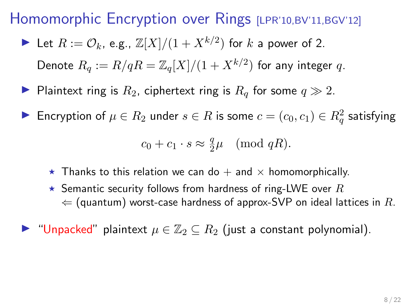In Let  $R := \mathcal{O}_k$ , e.g.,  $\mathbb{Z}[X]/(1 + X^{k/2})$  for  $k$  a power of 2.

Denote  $R_q := R/qR = \mathbb{Z}_q[X]/(1+X^{k/2})$  for any integer  $q.$ 

Plaintext ring is  $R_2$ , ciphertext ring is  $R_q$  for some  $q \gg 2$ .

► Encryption of  $\mu \in R_2$  under  $s \in R$  is some  $c = (c_0, c_1) \in R^2_q$  satisfying

$$
c_0 + c_1 \cdot s \approx \frac{q}{2}\mu \pmod{qR}
$$
.

- $\star$  Thanks to this relation we can do  $+$  and  $\times$  homomorphically.
- $\star$  Semantic security follows from hardness of ring-LWE over  $R$  $\Leftarrow$  (quantum) worst-case hardness of approx-SVP on ideal lattices in R.

► "Unpacked" plaintext  $\mu \in \mathbb{Z}_2 \subseteq R_2$  (just a constant polynomial).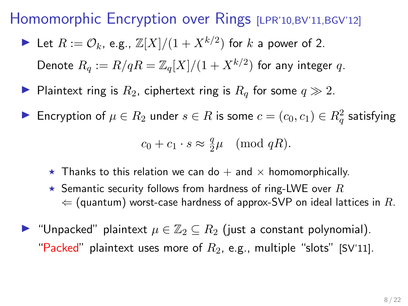In Let  $R := \mathcal{O}_k$ , e.g.,  $\mathbb{Z}[X]/(1 + X^{k/2})$  for  $k$  a power of 2.

Denote  $R_q := R/qR = \mathbb{Z}_q[X]/(1+X^{k/2})$  for any integer  $q.$ 

- Plaintext ring is  $R_2$ , ciphertext ring is  $R_q$  for some  $q \gg 2$ .
- ► Encryption of  $\mu \in R_2$  under  $s \in R$  is some  $c = (c_0, c_1) \in R^2_q$  satisfying

$$
c_0 + c_1 \cdot s \approx \frac{q}{2}\mu \pmod{qR}
$$
.

- $\star$  Thanks to this relation we can do  $+$  and  $\times$  homomorphically.
- $\star$  Semantic security follows from hardness of ring-LWE over  $R$  $\Leftarrow$  (quantum) worst-case hardness of approx-SVP on ideal lattices in R.
- $\blacktriangleright$  "Unpacked" plaintext  $\mu \in \mathbb{Z}_2 \subseteq R_2$  (just a constant polynomial). "Packed" plaintext uses more of  $R_2$ , e.g., multiple "slots" [SV'11].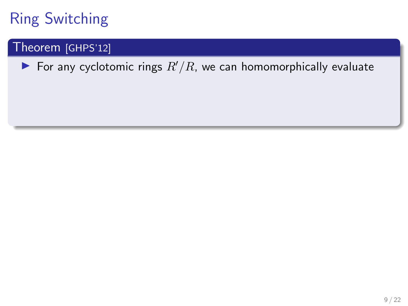### Theorem [GHPS'12]

For any cyclotomic rings  $R'/R$ , we can homomorphically evaluate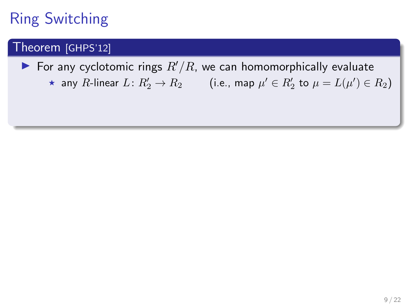### Theorem [GHPS'12]

For any cyclotomic rings  $R'/R$ , we can homomorphically evaluate  $\star$  any R-linear  $L: R'_2 \to R_2$  (i.e., map  $\mu' \in R'_2$  to  $\mu = L(\mu') \in R_2$ )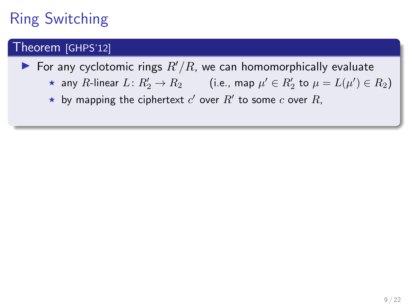### Theorem [GHPS'12]

- For any cyclotomic rings  $R'/R$ , we can homomorphically evaluate
	- $\star$  any R-linear  $L: R'_2 \to R_2$  (i.e., map  $\mu' \in R'_2$  to  $\mu = L(\mu') \in R_2$ )
	- $\star$  by mapping the ciphertext  $c'$  over  $R'$  to some  $c$  over  $R$ ,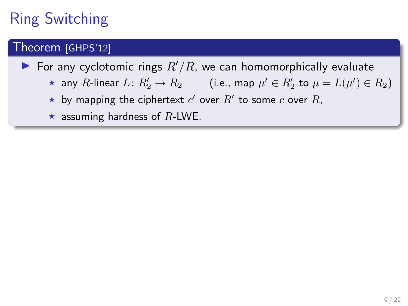### Theorem [GHPS'12]

- For any cyclotomic rings  $R'/R$ , we can homomorphically evaluate
	- $\star$  any R-linear  $L: R'_2 \to R_2$  (i.e., map  $\mu' \in R'_2$  to  $\mu = L(\mu') \in R_2$ )
	- $\star$  by mapping the ciphertext  $c'$  over  $R'$  to some  $c$  over  $R$ ,
	- $\star$  assuming hardness of R-LWE.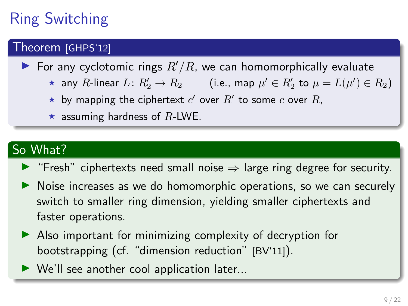### Theorem [GHPS'12]

- $\blacktriangleright$  For any cyclotomic rings  $R'/R$ , we can homomorphically evaluate
	- $\star$  any R-linear  $L: R'_2 \to R_2$  (i.e., map  $\mu' \in R'_2$  to  $\mu = L(\mu') \in R_2$ )
	- $\star$  by mapping the ciphertext  $c'$  over  $R'$  to some  $c$  over  $R$ ,
	- $\star$  assuming hardness of R-LWE.

### So What?

- $\triangleright$  "Fresh" ciphertexts need small noise  $\Rightarrow$  large ring degree for security.
- ightharpoonup Noise increases as we do homomorphic operations, so we can securely switch to smaller ring dimension, yielding smaller ciphertexts and faster operations.
- $\blacktriangleright$  Also important for minimizing complexity of decryption for bootstrapping (cf. "dimension reduction" [BV'11]).
- $\blacktriangleright$  We'll see another cool application later...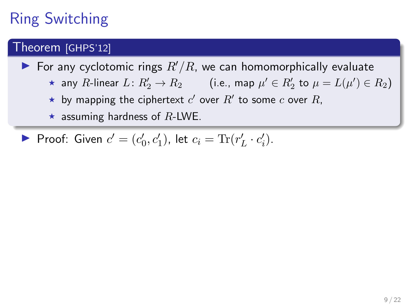### Theorem [GHPS'12]

For any cyclotomic rings  $R'/R$ , we can homomorphically evaluate

- $\star$  any R-linear  $L: R'_2 \to R_2$  (i.e., map  $\mu' \in R'_2$  to  $\mu = L(\mu') \in R_2$ )
- $\star$  by mapping the ciphertext  $c'$  over  $R'$  to some  $c$  over  $R$ ,
- $\star$  assuming hardness of R-LWE.

Proof: Given  $c' = (c'_0, c'_1)$ , let  $c_i = \text{Tr}(r'_L \cdot c'_i)$ .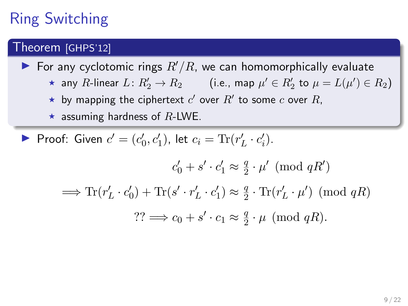# Ring Switching

#### Theorem [GHPS'12]

For any cyclotomic rings  $R'/R$ , we can homomorphically evaluate

- $\star$  any R-linear  $L: R'_2 \to R_2$  (i.e., map  $\mu' \in R'_2$  to  $\mu = L(\mu') \in R_2$ )
- $\star$  by mapping the ciphertext  $c'$  over  $R'$  to some  $c$  over  $R$ ,
- $\star$  assuming hardness of R-LWE.

Proof: Given  $c' = (c'_0, c'_1)$ , let  $c_i = \text{Tr}(r'_L \cdot c'_i)$ .

$$
c'_0 + s' \cdot c'_1 \approx \frac{q}{2} \cdot \mu' \pmod{qR'}
$$

$$
\implies \text{Tr}(r'_L \cdot c'_0) + \text{Tr}(s' \cdot r'_L \cdot c'_1) \approx \frac{q}{2} \cdot \text{Tr}(r'_L \cdot \mu') \pmod{qR}
$$

$$
?? \implies c_0 + s' \cdot c_1 \approx \frac{q}{2} \cdot \mu \pmod{qR}.
$$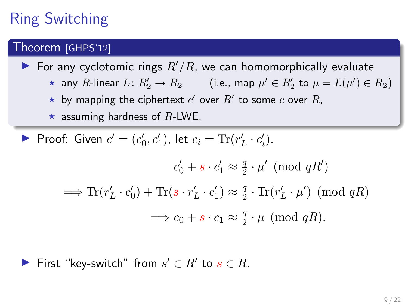# Ring Switching

#### Theorem [GHPS'12]

For any cyclotomic rings  $R'/R$ , we can homomorphically evaluate

- $\star$  any R-linear  $L: R'_2 \to R_2$  (i.e., map  $\mu' \in R'_2$  to  $\mu = L(\mu') \in R_2$ )
- $\star$  by mapping the ciphertext  $c'$  over  $R'$  to some  $c$  over  $R$ ,
- $\star$  assuming hardness of R-LWE.

Proof: Given  $c' = (c'_0, c'_1)$ , let  $c_i = \text{Tr}(r'_L \cdot c'_i)$ .

$$
c'_0 + s \cdot c'_1 \approx \frac{q}{2} \cdot \mu' \pmod{qR'}
$$

$$
\implies \text{Tr}(r'_L \cdot c'_0) + \text{Tr}(s \cdot r'_L \cdot c'_1) \approx \frac{q}{2} \cdot \text{Tr}(r'_L \cdot \mu') \pmod{qR}
$$

$$
\implies c_0 + s \cdot c_1 \approx \frac{q}{2} \cdot \mu \pmod{qR}.
$$

First "key-switch" from  $s' \in R'$  to  $s \in R$ .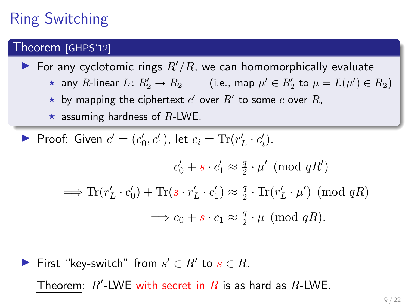# Ring Switching

#### Theorem [GHPS'12]

For any cyclotomic rings  $R'/R$ , we can homomorphically evaluate

- $\star$  any R-linear  $L: R'_2 \to R_2$  (i.e., map  $\mu' \in R'_2$  to  $\mu = L(\mu') \in R_2$ )
- $\star$  by mapping the ciphertext  $c'$  over  $R'$  to some  $c$  over  $R$ ,
- $\star$  assuming hardness of R-LWE.

Proof: Given  $c' = (c'_0, c'_1)$ , let  $c_i = \text{Tr}(r'_L \cdot c'_i)$ .

$$
c'_0 + s \cdot c'_1 \approx \frac{q}{2} \cdot \mu' \pmod{qR'}
$$

$$
\implies \text{Tr}(r'_L \cdot c'_0) + \text{Tr}(s \cdot r'_L \cdot c'_1) \approx \frac{q}{2} \cdot \text{Tr}(r'_L \cdot \mu') \pmod{qR}
$$

$$
\implies c_0 + s \cdot c_1 \approx \frac{q}{2} \cdot \mu \pmod{qR}.
$$

First "key-switch" from  $s' \in R'$  to  $s \in R$ . Theorem:  $R'$ -LWE with secret in  $R$  is as hard as  $R$ -LWE.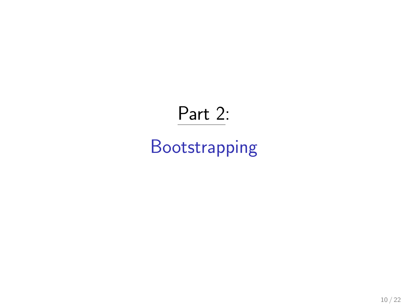# Part 2:

# Bootstrapping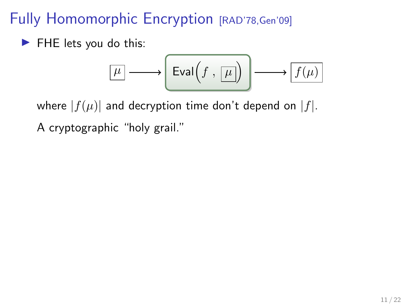# Fully Homomorphic Encryption [RAD'78, Gen'09]

 $\blacktriangleright$  FHE lets you do this:

$$
\boxed{\mu} \longrightarrow \boxed{\mathrm{Eval}\left(f\ ,\ \boxed{\mu}\right)} \longrightarrow \boxed{f(\mu)}
$$

where  $|f(\mu)|$  and decryption time don't depend on  $|f|$ .

A cryptographic "holy grail."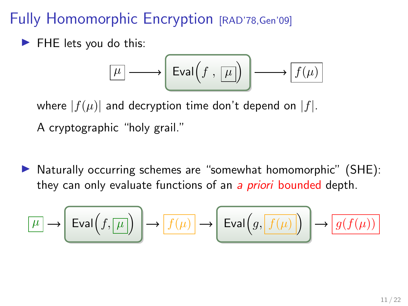## Fully Homomorphic Encryption [RAD'78, Gen'09]

 $\blacktriangleright$  FHE lets you do this:

$$
\boxed{\mu} \longrightarrow \boxed{\mathrm{Eval}\left(f \ ,\ \boxed{\mu}\right)} \longrightarrow \boxed{f(\mu)}
$$

where  $|f(\mu)|$  and decryption time don't depend on  $|f|$ .

A cryptographic "holy grail."

 $\triangleright$  Naturally occurring schemes are "somewhat homomorphic" (SHE): they can only evaluate functions of an a *priori* bounded depth.

$$
\boxed{\mu} \to \boxed{\mathrm{Eval}\Big(f, \boxed{\mu}\Big)} \to \boxed{f(\mu)} \to \boxed{\mathrm{Eval}\Big(g, \boxed{f(\mu)}\Big)} \to \boxed{g(f(\mu))}
$$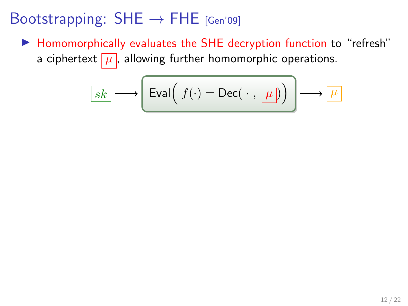▶ Homomorphically evaluates the SHE decryption function to "refresh" a ciphertext  $\boxed{\mu}$ , allowing further homomorphic operations.

$$
\boxed{sk} \longrightarrow \boxed{\text{Eval}\left(\ f(\cdot) = \text{Dec}(\ \cdot \ ,\ \boxed{\mu}\right)\ \longrightarrow\ \boxed{\mu}
$$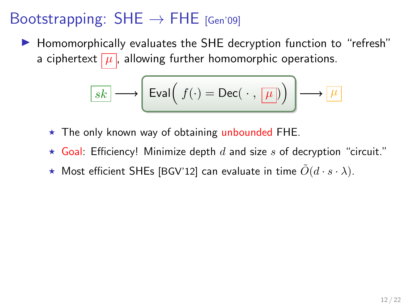▶ Homomorphically evaluates the SHE decryption function to "refresh" a ciphertext  $\mu$ , allowing further homomorphic operations.

$$
\boxed{sk} \longrightarrow \boxed{\text{Eval}\left(\ f(\cdot) = \text{Dec}(\ \cdot \ ,\ \boxed{\mu}\right)\ \right) \longrightarrow \boxed{\mu}
$$

- $\star$  The only known way of obtaining unbounded FHE.
- $\star$  Goal: Efficiency! Minimize depth d and size s of decryption "circuit."
- $\star$  Most efficient SHEs [BGV'12] can evaluate in time  $\tilde{O}(d \cdot s \cdot \lambda)$ .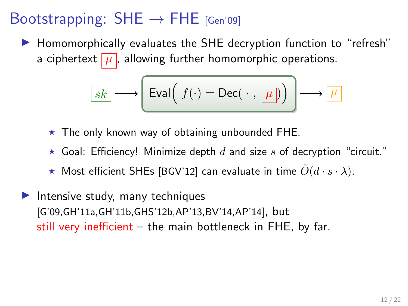$\blacktriangleright$  Homomorphically evaluates the SHE decryption function to "refresh" a ciphertext  $\mu$ , allowing further homomorphic operations.

$$
\boxed{sk} \longrightarrow \boxed{\text{Eval}\left(\ f(\cdot) = \text{Dec}(\ \cdot \ ,\ \boxed{\mu}\right)\ \longrightarrow\ \boxed{\mu}
$$

- $\star$  The only known way of obtaining unbounded FHE.
- $\star$  Goal: Efficiency! Minimize depth d and size s of decryption "circuit."
- $\star$  Most efficient SHEs [BGV'12] can evaluate in time  $\tilde{O}(d \cdot s \cdot \lambda)$ .
- $\blacktriangleright$  Intensive study, many techniques [G'09,GH'11a,GH'11b,GHS'12b,AP'13,BV'14,AP'14], but still very inefficient – the main bottleneck in FHE, by far.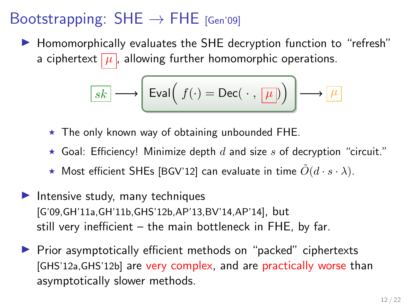$\blacktriangleright$  Homomorphically evaluates the SHE decryption function to "refresh" a ciphertext  $\mu$ , allowing further homomorphic operations.

$$
\boxed{sk} \longrightarrow \boxed{\text{Eval}\left(\ f(\cdot) = \text{Dec}(\ \cdot \ ,\ \boxed{\mu}\right)\ \longrightarrow\ \boxed{\mu}
$$

- $\star$  The only known way of obtaining unbounded FHE.
- $\star$  Goal: Efficiency! Minimize depth d and size s of decryption "circuit."
- $\star$  Most efficient SHEs [BGV'12] can evaluate in time  $\tilde{O}(d \cdot s \cdot \lambda)$ .
- Intensive study, many techniques [G'09,GH'11a,GH'11b,GHS'12b,AP'13,BV'14,AP'14], but still very inefficient – the main bottleneck in FHE, by far.
- $\triangleright$  Prior asymptotically efficient methods on "packed" ciphertexts [GHS'12a,GHS'12b] are very complex, and are practically worse than asymptotically slower methods.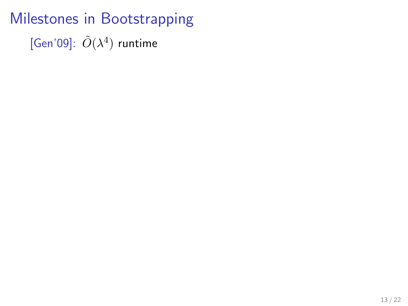Milestones in Bootstrapping [Gen'09]:  $\tilde{O}(\lambda^4)$  runtime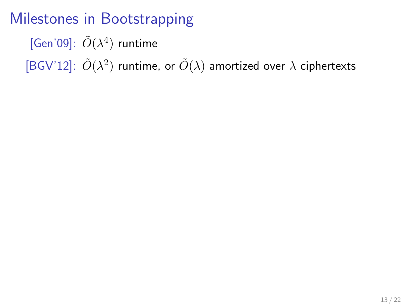[Gen'09]:  $\tilde{O}(\lambda^4)$  runtime

[BGV'12]:  $\tilde{O}(\lambda^2)$  runtime, or  $\tilde{O}(\lambda)$  amortized over  $\lambda$  ciphertexts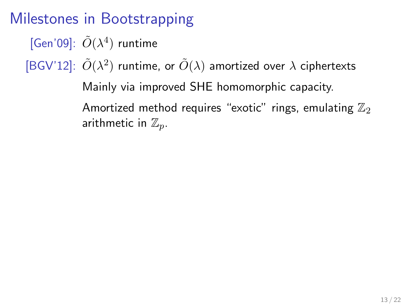[Gen'09]:  $\tilde{O}(\lambda^4)$  runtime

[BGV'12]:  $\tilde{O}(\lambda^2)$  runtime, or  $\tilde{O}(\lambda)$  amortized over  $\lambda$  ciphertexts

Mainly via improved SHE homomorphic capacity. Amortized method requires "exotic" rings, emulating  $\mathbb{Z}_2$ arithmetic in  $\mathbb{Z}_p$ .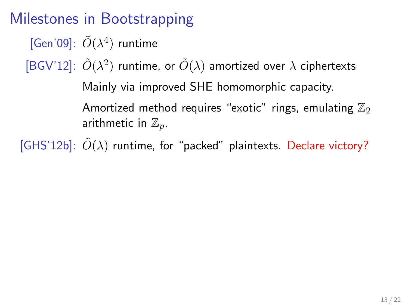[Gen'09]:  $\tilde{O}(\lambda^4)$  runtime

[BGV'12]:  $\tilde{O}(\lambda^2)$  runtime, or  $\tilde{O}(\lambda)$  amortized over  $\lambda$  ciphertexts

Mainly via improved SHE homomorphic capacity. Amortized method requires "exotic" rings, emulating  $\mathbb{Z}_2$ 

arithmetic in  $\mathbb{Z}_p$ .

[GHS'12b]:  $\tilde{O}(\lambda)$  runtime, for "packed" plaintexts. Declare victory?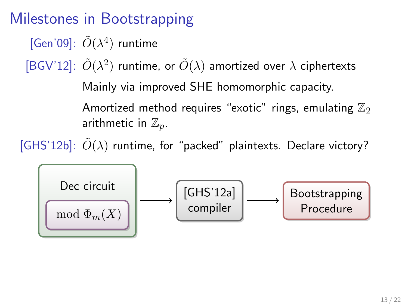[Gen'09]:  $\tilde{O}(\lambda^4)$  runtime

[BGV'12]:  $\tilde{O}(\lambda^2)$  runtime, or  $\tilde{O}(\lambda)$  amortized over  $\lambda$  ciphertexts

Mainly via improved SHE homomorphic capacity. Amortized method requires "exotic" rings, emulating  $\mathbb{Z}_2$ 

arithmetic in  $\mathbb{Z}_p$ .

[GHS'12b]:  $\tilde{O}(\lambda)$  runtime, for "packed" plaintexts. Declare victory?

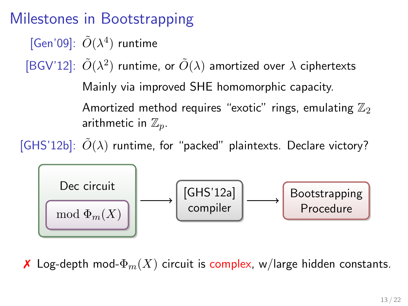[Gen'09]:  $\tilde{O}(\lambda^4)$  runtime

[BGV'12]:  $\tilde{O}(\lambda^2)$  runtime, or  $\tilde{O}(\lambda)$  amortized over  $\lambda$  ciphertexts

Mainly via improved SHE homomorphic capacity.

Amortized method requires "exotic" rings, emulating  $\mathbb{Z}_2$ arithmetic in  $\mathbb{Z}_p$ .

[GHS'12b]:  $\tilde{O}(\lambda)$  runtime, for "packed" plaintexts. Declare victory?



**X** Log-depth mod- $\Phi_m(X)$  circuit is complex, w/large hidden constants.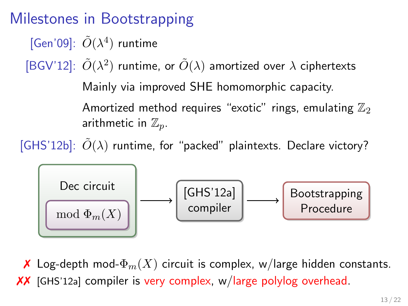[Gen'09]:  $\tilde{O}(\lambda^4)$  runtime

[BGV'12]:  $\tilde{O}(\lambda^2)$  runtime, or  $\tilde{O}(\lambda)$  amortized over  $\lambda$  ciphertexts

Mainly via improved SHE homomorphic capacity.

Amortized method requires "exotic" rings, emulating  $\mathbb{Z}_2$ arithmetic in  $\mathbb{Z}_p$ .

[GHS'12b]:  $\tilde{O}(\lambda)$  runtime, for "packed" plaintexts. Declare victory?



**X** Log-depth mod- $\Phi_m(X)$  circuit is complex, w/large hidden constants. ✗✗ [GHS'12a] compiler is very complex, w/large polylog overhead.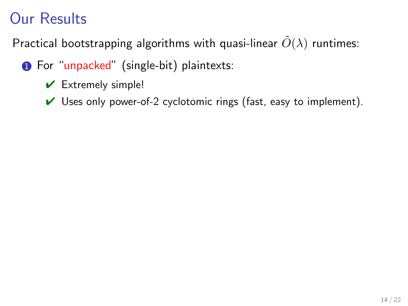- **1** For "unpacked" (single-bit) plaintexts:
	- $\vee$  Extremely simple!
	- $\vee$  Uses only power-of-2 cyclotomic rings (fast, easy to implement).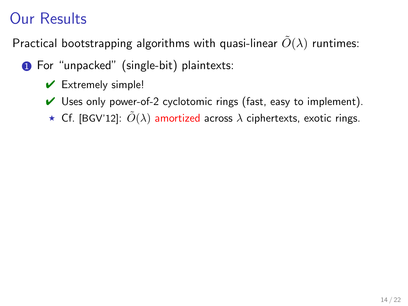- **1** For "unpacked" (single-bit) plaintexts:
	- $\vee$  Extremely simple!
	- $\vee$  Uses only power-of-2 cyclotomic rings (fast, easy to implement).
	- **★** Cf. [BGV'12]:  $\tilde{O}(\lambda)$  amortized across  $\lambda$  ciphertexts, exotic rings.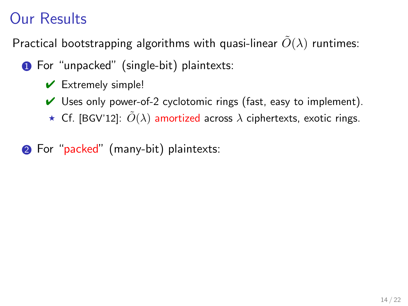- **1** For "unpacked" (single-bit) plaintexts:
	- $\vee$  Extremely simple!
	- $\vee$  Uses only power-of-2 cyclotomic rings (fast, easy to implement).
	- $\star$  Cf. [BGV'12]:  $\tilde{O}(\lambda)$  amortized across  $\lambda$  ciphertexts, exotic rings.
- 2 For "packed" (many-bit) plaintexts: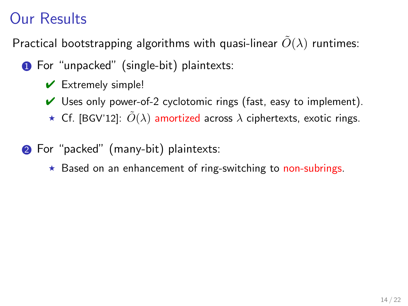- **1** For "unpacked" (single-bit) plaintexts:
	- $\vee$  Extremely simple!
	- $\vee$  Uses only power-of-2 cyclotomic rings (fast, easy to implement).
	- ★ Cf. [BGV'12]:  $\tilde{O}(\lambda)$  amortized across  $\lambda$  ciphertexts, exotic rings.
- **2** For "packed" (many-bit) plaintexts:
	- $\star$  Based on an enhancement of ring-switching to non-subrings.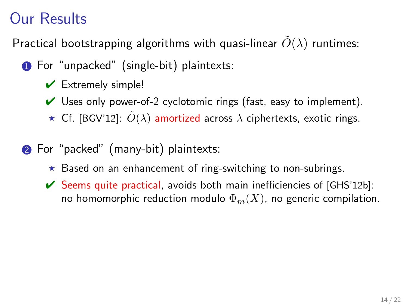- **1** For "unpacked" (single-bit) plaintexts:
	- $\vee$  Extremely simple!
	- $\vee$  Uses only power-of-2 cyclotomic rings (fast, easy to implement).
	- $\star$  Cf. [BGV'12]:  $\tilde{O}(\lambda)$  amortized across  $\lambda$  ciphertexts, exotic rings.
- **2** For "packed" (many-bit) plaintexts:
	- $\star$  Based on an enhancement of ring-switching to non-subrings.
	- $\triangleright$  Seems quite practical, avoids both main inefficiencies of  $[GHS'12b]$ : no homomorphic reduction modulo  $\Phi_m(X)$ , no generic compilation.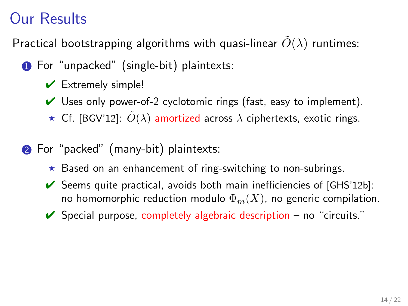- **1** For "unpacked" (single-bit) plaintexts:
	- $\vee$  Extremely simple!
	- $\vee$  Uses only power-of-2 cyclotomic rings (fast, easy to implement).
	- $\star$  Cf. [BGV'12]:  $\tilde{O}(\lambda)$  amortized across  $\lambda$  ciphertexts, exotic rings.
- **2** For "packed" (many-bit) plaintexts:
	- $\star$  Based on an enhancement of ring-switching to non-subrings.
	- $\triangleright$  Seems quite practical, avoids both main inefficiencies of  $[GHS'12b]$ : no homomorphic reduction modulo  $\Phi_m(X)$ , no generic compilation.
	- $\vee$  Special purpose, completely algebraic description no "circuits."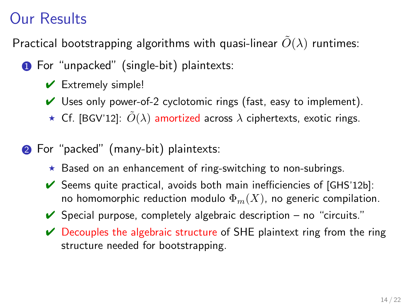- **1** For "unpacked" (single-bit) plaintexts:
	- $\vee$  Extremely simple!
	- $\vee$  Uses only power-of-2 cyclotomic rings (fast, easy to implement).
	- **★** Cf. [BGV'12]:  $\tilde{O}(\lambda)$  amortized across  $\lambda$  ciphertexts, exotic rings.
- **2** For "packed" (many-bit) plaintexts:
	- $\star$  Based on an enhancement of ring-switching to non-subrings.
	- $\triangleright$  Seems quite practical, avoids both main inefficiencies of  $[GHS'12b]$ : no homomorphic reduction modulo  $\Phi_m(X)$ , no generic compilation.
	- $\vee$  Special purpose, completely algebraic description no "circuits."
	- $\vee$  Decouples the algebraic structure of SHE plaintext ring from the ring structure needed for bootstrapping.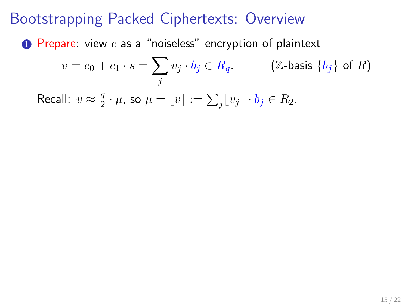$\bullet$  Prepare: view  $c$  as a "noiseless" encryption of plaintext

$$
v = c_0 + c_1 \cdot s = \sum_j v_j \cdot b_j \in R_q. \qquad (\mathbb{Z}\text{-basis }\{b_j\} \text{ of } R)
$$

Recall:  $v \approx \frac{q}{2}$  $\frac{q}{2}\cdot \mu$ , so  $\mu=\lfloor v \rceil :=\sum_j \lfloor v_j \rceil \cdot b_j \in R_2.$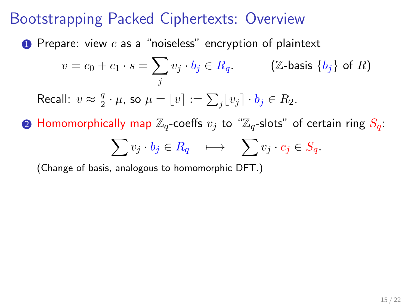**1** Prepare: view  $c$  as a "noiseless" encryption of plaintext

$$
v = c_0 + c_1 \cdot s = \sum_j v_j \cdot b_j \in R_q. \qquad (\mathbb{Z}\text{-basis }\{b_j\} \text{ of } R)
$$

Recall:  $v \approx \frac{q}{2}$  $\frac{q}{2}\cdot \mu$ , so  $\mu=\lfloor v \rceil :=\sum_j \lfloor v_j \rceil \cdot b_j \in R_2.$ 

**2** Homomorphically map  $\mathbb{Z}_q$ -coeffs  $v_j$  to " $\mathbb{Z}_q$ -slots" of certain ring  $S_q$ :

$$
\sum v_j \cdot b_j \in R_q \quad \longmapsto \quad \sum v_j \cdot c_j \in S_q.
$$

(Change of basis, analogous to homomorphic DFT.)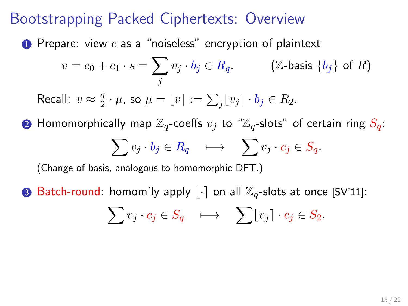**1** Prepare: view  $c$  as a "noiseless" encryption of plaintext

$$
v = c_0 + c_1 \cdot s = \sum_j v_j \cdot b_j \in R_q. \qquad (\mathbb{Z}\text{-basis }\{b_j\} \text{ of } R)
$$

Recall:  $v \approx \frac{q}{2}$  $\frac{q}{2}\cdot \mu$ , so  $\mu=\lfloor v \rceil :=\sum_j \lfloor v_j \rceil \cdot b_j \in R_2.$ 

**2** Homomorphically map  $\mathbb{Z}_q$ -coeffs  $v_j$  to " $\mathbb{Z}_q$ -slots" of certain ring  $S_q$ :  $\sum v_j \cdot b_j \in R_q \quad \longmapsto \quad \sum v_j \cdot c_j \in S_q.$ 

(Change of basis, analogous to homomorphic DFT.)

**3** Batch-round: homom'ly apply  $|\cdot|$  on all  $\mathbb{Z}_q$ -slots at once [SV'11]:

$$
\sum v_j \cdot c_j \in S_q \quad \longmapsto \quad \sum \lfloor v_j \rceil \cdot c_j \in S_2.
$$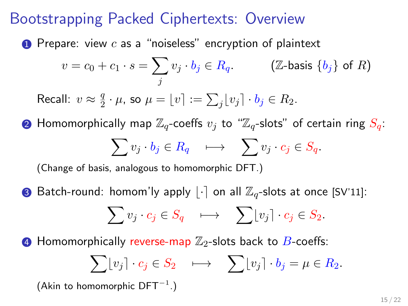**1** Prepare: view  $c$  as a "noiseless" encryption of plaintext

$$
v = c_0 + c_1 \cdot s = \sum_j v_j \cdot b_j \in R_q. \qquad (\mathbb{Z}\text{-basis }\{b_j\} \text{ of } R)
$$

Recall:  $v \approx \frac{q}{2}$  $\frac{q}{2}\cdot \mu$ , so  $\mu=\lfloor v \rceil :=\sum_j \lfloor v_j \rceil \cdot b_j \in R_2.$ 

**2** Homomorphically map  $\mathbb{Z}_q$ -coeffs  $v_j$  to " $\mathbb{Z}_q$ -slots" of certain ring  $S_q$ :  $\sum v_j \cdot b_j \in R_q \quad \longmapsto \quad \sum v_j \cdot c_j \in S_q.$ 

(Change of basis, analogous to homomorphic DFT.)

**3** Batch-round: homom'ly apply  $|\cdot|$  on all  $\mathbb{Z}_q$ -slots at once [SV'11]:

$$
\sum v_j \cdot c_j \in S_q \quad \longmapsto \quad \sum \lfloor v_j \rceil \cdot c_j \in S_2.
$$

**4** Homomorphically reverse-map  $\mathbb{Z}_2$ -slots back to  $B$ -coeffs:

$$
\sum \lfloor v_j \rceil \cdot c_j \in S_2 \quad \longmapsto \quad \sum \lfloor v_j \rceil \cdot b_j = \mu \in R_2.
$$

(Akin to homomorphic  $DFT^{-1}$ .)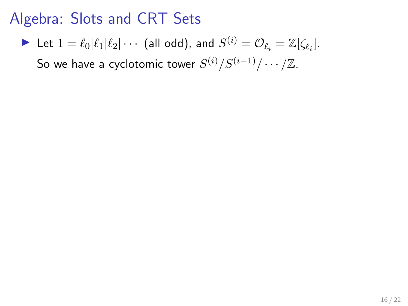$\blacktriangleright$  Let  $1 = \ell_0 | \ell_1 | \ell_2 | \cdots$  (all odd), and  $S^{(i)} = \mathcal{O}_{\ell_i} = \mathbb{Z}[\zeta_{\ell_i}].$ 

So we have a cyclotomic tower  $S^{(i)}/S^{(i-1)}/\cdots/\mathbb{Z}.$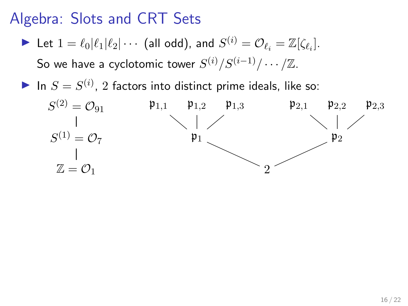$\blacktriangleright$  Let  $1 = \ell_0 | \ell_1 | \ell_2 | \cdots$  (all odd), and  $S^{(i)} = \mathcal{O}_{\ell_i} = \mathbb{Z}[\zeta_{\ell_i}].$ 

So we have a cyclotomic tower  $S^{(i)}/S^{(i-1)}/\cdots/\mathbb{Z}.$ 

In  $S = S^{(i)}$ , 2 factors into distinct prime ideals, like so:

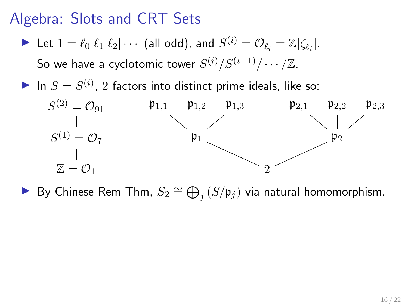$\blacktriangleright$  Let  $1 = \ell_0 | \ell_1 | \ell_2 | \cdots$  (all odd), and  $S^{(i)} = \mathcal{O}_{\ell_i} = \mathbb{Z}[\zeta_{\ell_i}].$ 

So we have a cyclotomic tower  $S^{(i)}/S^{(i-1)}/\cdots/\mathbb{Z}.$ 

In  $S = S^{(i)}$ , 2 factors into distinct prime ideals, like so:



► By Chinese Rem Thm,  $S_2 \cong \bigoplus_j (S/\mathfrak{p}_j)$  via natural homomorphism.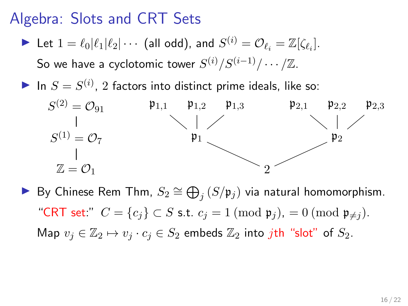$\blacktriangleright$  Let  $1 = \ell_0 | \ell_1 | \ell_2 | \cdots$  (all odd), and  $S^{(i)} = \mathcal{O}_{\ell_i} = \mathbb{Z}[\zeta_{\ell_i}].$ 

So we have a cyclotomic tower  $S^{(i)}/S^{(i-1)}/\cdots/\mathbb{Z}.$ 

In  $S = S^{(i)}$ , 2 factors into distinct prime ideals, like so:



► By Chinese Rem Thm,  $S_2 \cong \bigoplus_j (S/\mathfrak{p}_j)$  via natural homomorphism. "CRT set:"  $C = \{c_i\} \subset S$  s.t.  $c_j = 1 \pmod{\mathfrak{p}_j} = 0 \pmod{\mathfrak{p}_{\neq j}}$ . Map  $v_i \in \mathbb{Z}_2 \mapsto v_i \cdot c_i \in S_2$  embeds  $\mathbb{Z}_2$  into *j*th "slot" of  $S_2$ .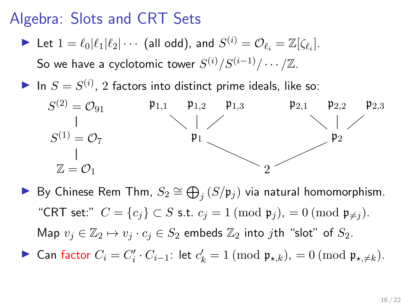$\blacktriangleright$  Let  $1 = \ell_0 | \ell_1 | \ell_2 | \cdots$  (all odd), and  $S^{(i)} = \mathcal{O}_{\ell_i} = \mathbb{Z}[\zeta_{\ell_i}].$ 

So we have a cyclotomic tower  $S^{(i)}/S^{(i-1)}/\cdots/\mathbb{Z}.$ 

In  $S = S^{(i)}$ , 2 factors into distinct prime ideals, like so:



- ► By Chinese Rem Thm,  $S_2 \cong \bigoplus_j (S/\mathfrak{p}_j)$  via natural homomorphism. "CRT set:"  $C = \{c_i\} \subset S$  s.t.  $c_j = 1 \pmod{\mathfrak{p}_j} = 0 \pmod{\mathfrak{p}_{\neq j}}$ . Map  $v_i \in \mathbb{Z}_2 \mapsto v_i \cdot c_i \in S_2$  embeds  $\mathbb{Z}_2$  into jth "slot" of  $S_2$ .
- ► Can factor  $C_i = C'_i \cdot C_{i-1}$ : let  $c'_k = 1 \pmod{\mathfrak{p}_{\star,k}}$ ,  $= 0 \pmod{\mathfrak{p}_{\star,\neq k}}$ .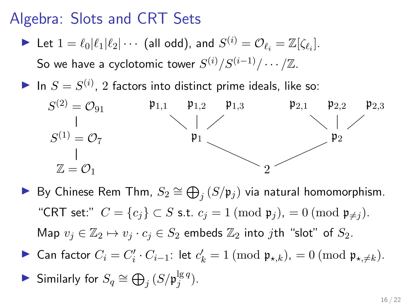$\blacktriangleright$  Let  $1 = \ell_0 | \ell_1 | \ell_2 | \cdots$  (all odd), and  $S^{(i)} = \mathcal{O}_{\ell_i} = \mathbb{Z}[\zeta_{\ell_i}].$ 

So we have a cyclotomic tower  $S^{(i)}/S^{(i-1)}/\cdots/\mathbb{Z}.$ 

In  $S = S^{(i)}$ , 2 factors into distinct prime ideals, like so:



- ► By Chinese Rem Thm,  $S_2 \cong \bigoplus_j (S/\mathfrak{p}_j)$  via natural homomorphism. "CRT set:"  $C = \{c_i\} \subset S$  s.t.  $c_j = 1 \pmod{\mathfrak{p}_j} = 0 \pmod{\mathfrak{p}_{\neq j}}$ . Map  $v_i \in \mathbb{Z}_2 \mapsto v_i \cdot c_i \in S_2$  embeds  $\mathbb{Z}_2$  into jth "slot" of  $S_2$ .
- ► Can factor  $C_i = C'_i \cdot C_{i-1}$ : let  $c'_k = 1 \pmod{\mathfrak{p}_{\star,k}}$ ,  $= 0 \pmod{\mathfrak{p}_{\star,\neq k}}$ .

► Similarly for 
$$
S_q \cong \bigoplus_j (S/\mathfrak{p}_j^{\lg q})
$$
.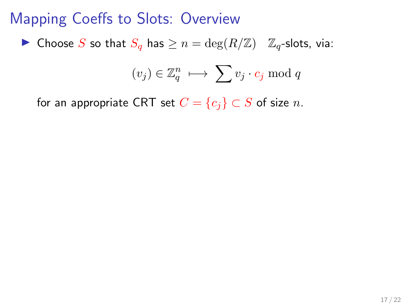#### Mapping Coeffs to Slots: Overview

▶ Choose S so that  $S_q$  has  $\geq n = \deg(R/\mathbb{Z})$   $\mathbb{Z}_q$ -slots, via:

$$
(v_j) \in \mathbb{Z}_q^n \; \longmapsto \; \sum v_j \cdot c_j \bmod q
$$

for an appropriate CRT set  $C = \{c_i\} \subset S$  of size n.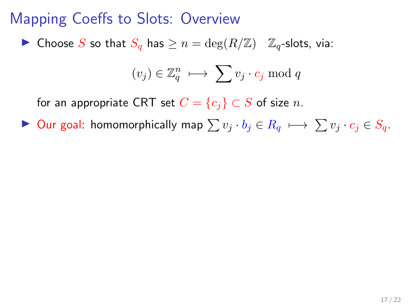▶ Choose S so that  $S_q$  has  $\geq n = \deg(R/\mathbb{Z})$   $\mathbb{Z}_q$ -slots, via:

$$
(v_j) \in \mathbb{Z}_q^n \; \longmapsto \; \sum v_j \cdot c_j \bmod q
$$

for an appropriate CRT set  $C = \{c_i\} \subset S$  of size n.

 $\triangleright$  Our goal: homomorphically map  $\sum v_i \cdot b_i \in R_q \mapsto \sum v_i \cdot c_i \in S_q$ .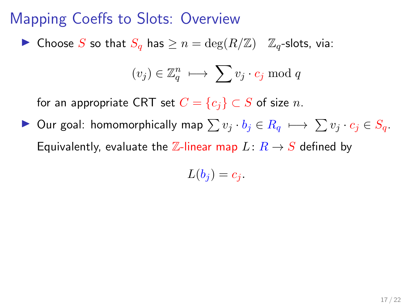▶ Choose S so that  $S_q$  has  $\geq n = \deg(R/\mathbb{Z})$   $\mathbb{Z}_q$ -slots, via:

$$
(v_j) \in \mathbb{Z}_q^n \; \longmapsto \; \sum v_j \cdot c_j \bmod q
$$

for an appropriate CRT set  $C = \{c_i\} \subset S$  of size n.

 $\triangleright$  Our goal: homomorphically map  $\sum v_i \cdot b_i \in R_q \mapsto \sum v_i \cdot c_i \in S_q$ . Equivalently, evaluate the Z-linear map  $L: R \rightarrow S$  defined by

$$
L(b_j)=c_j.
$$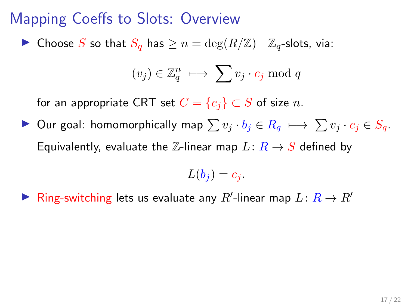▶ Choose S so that  $S_q$  has  $\geq n = \deg(R/\mathbb{Z})$   $\mathbb{Z}_q$ -slots, via:

$$
(v_j) \in \mathbb{Z}_q^n \; \longmapsto \; \sum v_j \cdot c_j \bmod q
$$

for an appropriate CRT set  $C = \{c_i\} \subset S$  of size n.

 $\triangleright$  Our goal: homomorphically map  $\sum v_i \cdot b_i \in R_q \mapsto \sum v_i \cdot c_i \in S_q$ . Equivalently, evaluate the Z-linear map  $L: R \rightarrow S$  defined by

$$
L(b_j)=c_j.
$$

▶ Ring-switching lets us evaluate any  $R'$ -linear map  $L: R \rightarrow R'$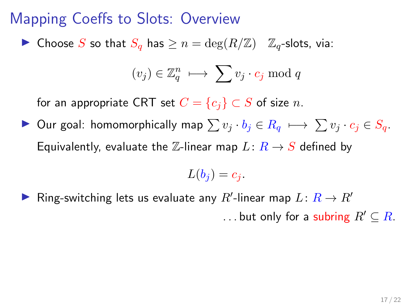▶ Choose S so that  $S_q$  has  $\geq n = \deg(R/\mathbb{Z})$   $\mathbb{Z}_q$ -slots, via:

$$
(v_j) \in \mathbb{Z}_q^n \; \longmapsto \; \sum v_j \cdot c_j \bmod q
$$

for an appropriate CRT set  $C = \{c_i\} \subset S$  of size n.

 $\triangleright$  Our goal: homomorphically map  $\sum v_i \cdot b_i \in R_q \mapsto \sum v_i \cdot c_i \in S_q$ . Equivalently, evaluate the Z-linear map  $L: R \rightarrow S$  defined by

$$
L(b_j)=c_j.
$$

▶ Ring-switching lets us evaluate any  $R'$ -linear map  $L: R \rightarrow R'$ ... but only for a subring  $R' \subseteq R$ .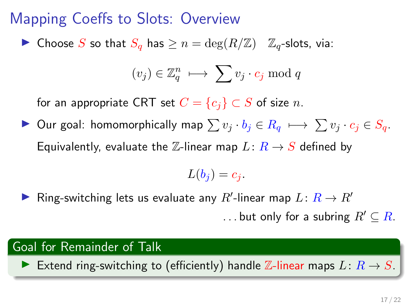▶ Choose S so that  $S_q$  has  $\geq n = \deg(R/\mathbb{Z})$   $\mathbb{Z}_q$ -slots, via:

$$
(v_j) \in \mathbb{Z}_q^n \; \longmapsto \; \sum v_j \cdot c_j \bmod q
$$

for an appropriate CRT set  $C = \{c_i\} \subset S$  of size n.

 $\triangleright$  Our goal: homomorphically map  $\sum v_i \cdot b_i \in R_q \mapsto \sum v_i \cdot c_i \in S_q$ . Equivalently, evaluate the Z-linear map  $L: R \rightarrow S$  defined by

$$
L(b_j)=c_j.
$$

▶ Ring-switching lets us evaluate any  $R'$ -linear map  $L: R \rightarrow R'$ ... but only for a subring  $R' \subseteq R$ .

#### Goal for Remainder of Talk

Extend ring-switching to (efficiently) handle Z-linear maps  $L: R \rightarrow S$ .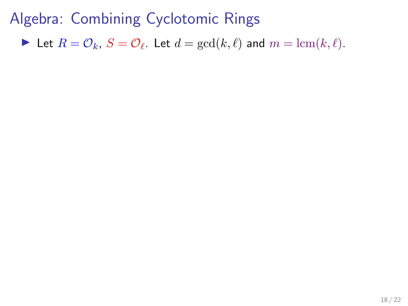Let  $R = \mathcal{O}_k$ ,  $S = \mathcal{O}_\ell$ . Let  $d = \gcd(k, \ell)$  and  $m = \text{lcm}(k, \ell)$ .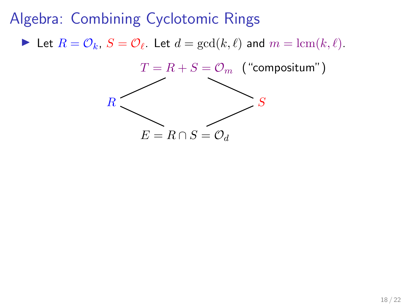Let  $R = \mathcal{O}_k$ ,  $S = \mathcal{O}_\ell$ . Let  $d = \gcd(k, \ell)$  and  $m = \text{lcm}(k, \ell)$ .

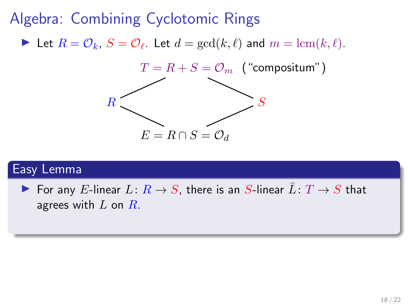Let  $R = \mathcal{O}_k$ ,  $S = \mathcal{O}_\ell$ . Let  $d = \gcd(k, \ell)$  and  $m = \text{lcm}(k, \ell)$ .



### Easy Lemma

▶ For any E-linear  $L: R \rightarrow S$ , there is an S-linear  $\bar{L}: T \rightarrow S$  that agrees with  $L$  on  $R$ .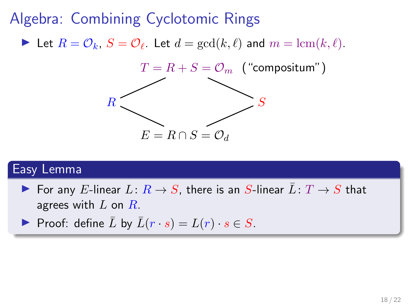Let  $R = \mathcal{O}_k$ ,  $S = \mathcal{O}_\ell$ . Let  $d = \gcd(k, \ell)$  and  $m = \text{lcm}(k, \ell)$ .



#### Easy Lemma

▶ For any E-linear  $L: R \rightarrow S$ , there is an S-linear  $L: T \rightarrow S$  that agrees with  $L$  on  $R$ .

Proof: define  $\overline{L}$  by  $\overline{L}(r \cdot s) = L(r) \cdot s \in S$ .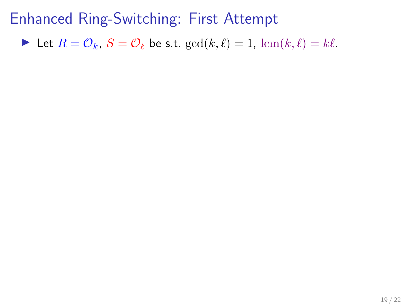In Let  $R = \mathcal{O}_k$ ,  $S = \mathcal{O}_\ell$  be s.t.  $gcd(k, \ell) = 1$ ,  $lcm(k, \ell) = k\ell$ .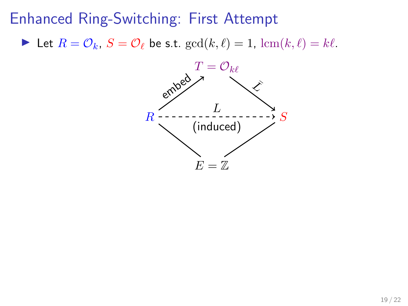In Let  $R = \mathcal{O}_k$ ,  $S = \mathcal{O}_\ell$  be s.t.  $gcd(k, \ell) = 1$ ,  $lcm(k, \ell) = k\ell$ .

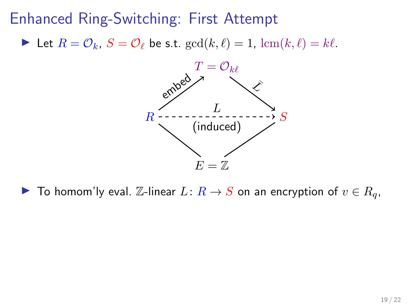In Let  $R = \mathcal{O}_k$ ,  $S = \mathcal{O}_\ell$  be s.t.  $gcd(k, \ell) = 1$ ,  $lcm(k, \ell) = k\ell$ .



▶ To homom'ly eval.  $\mathbb{Z}$ -linear  $L: R \to S$  on an encryption of  $v \in R_q$ ,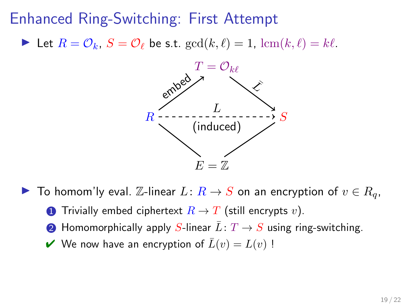In Let  $R = \mathcal{O}_k$ ,  $S = \mathcal{O}_\ell$  be s.t.  $gcd(k, \ell) = 1$ ,  $lcm(k, \ell) = k\ell$ .



- ▶ To homom'ly eval.  $\mathbb{Z}$ -linear  $L: R \to S$  on an encryption of  $v \in R_q$ ,
	- **1** Trivially embed ciphertext  $R \to T$  (still encrypts v).
	- **2** Homomorphically apply S-linear  $\overline{L}: T \to S$  using ring-switching.
	- $\vee$  We now have an encryption of  $\overline{L}(v) = L(v)$ !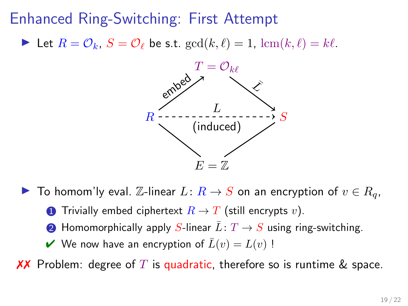In Let  $R = \mathcal{O}_k$ ,  $S = \mathcal{O}_\ell$  be s.t.  $gcd(k, \ell) = 1$ ,  $lcm(k, \ell) = k\ell$ .



- ▶ To homom'ly eval.  $\mathbb{Z}$ -linear  $L: R \to S$  on an encryption of  $v \in R_q$ ,
	- **1** Trivially embed ciphertext  $R \to T$  (still encrypts v).
	- **2** Homomorphically apply S-linear  $\overline{L}: T \to S$  using ring-switching.
	- $\vee$  We now have an encryption of  $\overline{L}(v) = L(v)$ !

**XX** Problem: degree of T is quadratic, therefore so is runtime & space.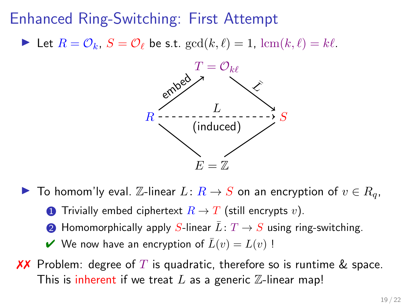In Let  $R = \mathcal{O}_k$ ,  $S = \mathcal{O}_\ell$  be s.t.  $gcd(k, \ell) = 1$ ,  $lcm(k, \ell) = k\ell$ .



- ▶ To homom'ly eval.  $\mathbb{Z}$ -linear  $L: R \to S$  on an encryption of  $v \in R_q$ ,
	- **1** Trivially embed ciphertext  $R \to T$  (still encrypts v).
	- **2** Homomorphically apply S-linear  $\overline{L}: T \to S$  using ring-switching.
	- $\vee$  We now have an encryption of  $\overline{L}(v) = L(v)$ !
- **XX** Problem: degree of T is quadratic, therefore so is runtime & space. This is inherent if we treat  $L$  as a generic  $\mathbb Z$ -linear map!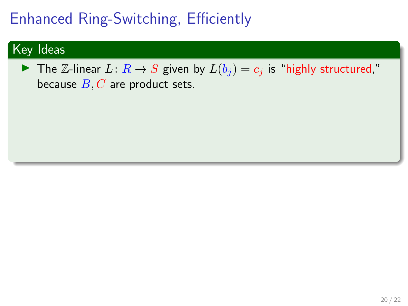# Enhanced Ring-Switching, Efficiently

### Key Ideas

▶ The Z-linear  $L: R \rightarrow S$  given by  $L(b_i) = c_i$  is "highly structured," because  $B, C$  are product sets.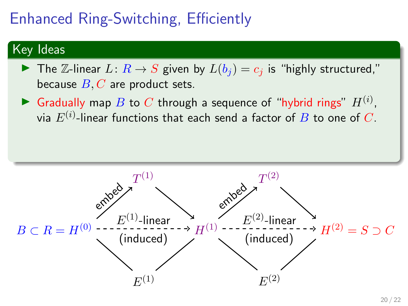# Enhanced Ring-Switching, Efficiently

### Key Ideas

- ▶ The Z-linear  $L: R \rightarrow S$  given by  $L(b_i) = c_i$  is "highly structured," because  $B, C$  are product sets.
- Gradually map B to C through a sequence of "hybrid rings"  $H^{(i)}$ , via  $E^{(i)}.$ linear functions that each send a factor of  $B$  to one of  $C.$

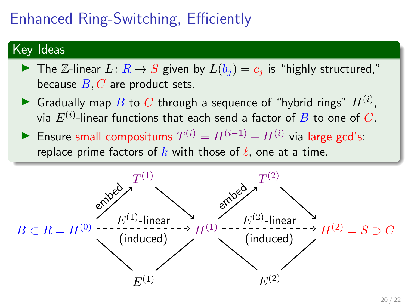# Enhanced Ring-Switching, Efficiently

### Key Ideas

- ▶ The Z-linear  $L: R \rightarrow S$  given by  $L(b_i) = c_i$  is "highly structured," because  $B, C$  are product sets.
- Gradually map B to C through a sequence of "hybrid rings"  $H^{(i)}$ , via  $E^{(i)}.$ linear functions that each send a factor of  $B$  to one of  $C.$
- ► Ensure small compositums  $T^{(i)} = H^{(i-1)} + H^{(i)}$  via large gcd's: replace prime factors of k with those of  $\ell$ , one at a time.

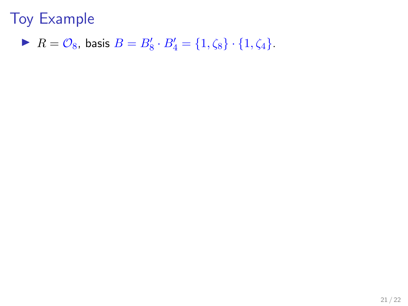$R = \mathcal{O}_8$ , basis  $B = B'_8 \cdot B'_4 = \{1, \zeta_8\} \cdot \{1, \zeta_4\}.$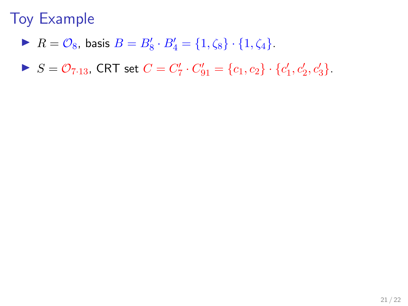- $R = \mathcal{O}_8$ , basis  $B = B'_8 \cdot B'_4 = \{1, \zeta_8\} \cdot \{1, \zeta_4\}.$
- $S = \mathcal{O}_{7 \cdot 13}$ , CRT set  $C = C'_7 \cdot C'_{91} = \{c_1, c_2\} \cdot \{c'_1, c'_2, c'_3\}.$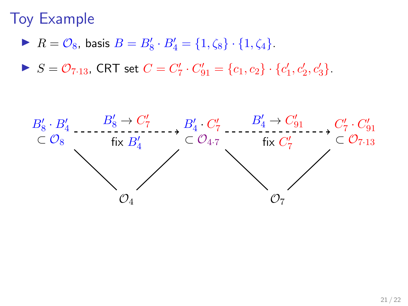- $R = \mathcal{O}_8$ , basis  $B = B'_8 \cdot B'_4 = \{1, \zeta_8\} \cdot \{1, \zeta_4\}.$
- $S = \mathcal{O}_{7 \cdot 13}$ , CRT set  $C = C'_7 \cdot C'_{91} = \{c_1, c_2\} \cdot \{c'_1, c'_2, c'_3\}.$

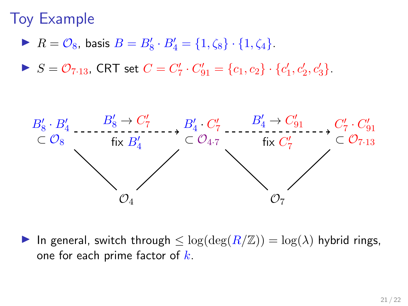- $R = \mathcal{O}_8$ , basis  $B = B'_8 \cdot B'_4 = \{1, \zeta_8\} \cdot \{1, \zeta_4\}.$
- $S = \mathcal{O}_{7 \cdot 13}$ , CRT set  $C = C'_7 \cdot C'_{91} = \{c_1, c_2\} \cdot \{c'_1, c'_2, c'_3\}.$



In general, switch through  $\leq \log(\deg(R/\mathbb{Z})) = \log(\lambda)$  hybrid rings, one for each prime factor of  $k$ .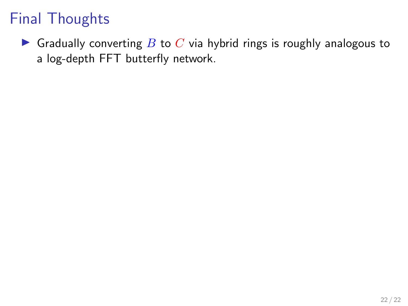Gradually converting  $B$  to  $C$  via hybrid rings is roughly analogous to a log-depth FFT butterfly network.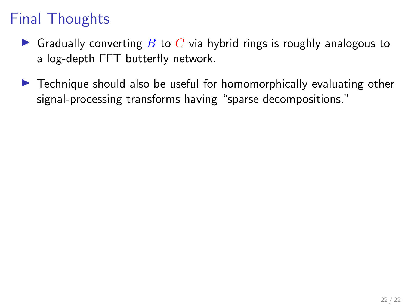- **If** Gradually converting B to C via hybrid rings is roughly analogous to a log-depth FFT butterfly network.
- $\triangleright$  Technique should also be useful for homomorphically evaluating other signal-processing transforms having "sparse decompositions."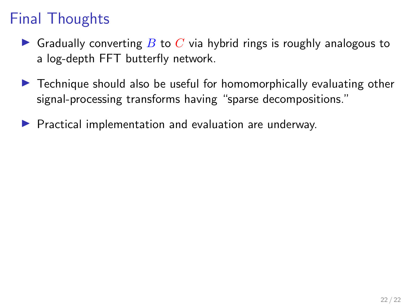- **In** Gradually converting B to C via hybrid rings is roughly analogous to a log-depth FFT butterfly network.
- $\triangleright$  Technique should also be useful for homomorphically evaluating other signal-processing transforms having "sparse decompositions."
- $\blacktriangleright$  Practical implementation and evaluation are underway.